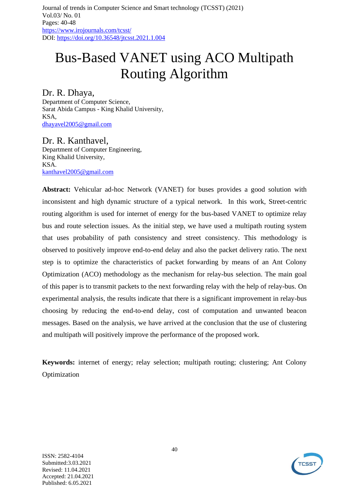# Bus-Based VANET using ACO Multipath Routing Algorithm

## Dr. R. Dhaya,

Department of Computer Science, Sarat Abida Campus - King Khalid University, KSA, [dhayavel2005@gmail.com](mailto:dhayavel2005@gmail.com)

Dr. R. Kanthavel, Department of Computer Engineering, King Khalid University, KSA. [kanthavel2005@gmail.com](mailto:kanthavel2005@gmail.com)

**Abstract:** Vehicular ad-hoc Network (VANET) for buses provides a good solution with inconsistent and high dynamic structure of a typical network. In this work, Street-centric routing algorithm is used for internet of energy for the bus-based VANET to optimize relay bus and route selection issues. As the initial step, we have used a multipath routing system that uses probability of path consistency and street consistency. This methodology is observed to positively improve end-to-end delay and also the packet delivery ratio. The next step is to optimize the characteristics of packet forwarding by means of an Ant Colony Optimization (ACO) methodology as the mechanism for relay-bus selection. The main goal of this paper is to transmit packets to the next forwarding relay with the help of relay-bus. On experimental analysis, the results indicate that there is a significant improvement in relay-bus choosing by reducing the end-to-end delay, cost of computation and unwanted beacon messages. Based on the analysis, we have arrived at the conclusion that the use of clustering and multipath will positively improve the performance of the proposed work.

**Keywords:** internet of energy; relay selection; multipath routing; clustering; Ant Colony Optimization

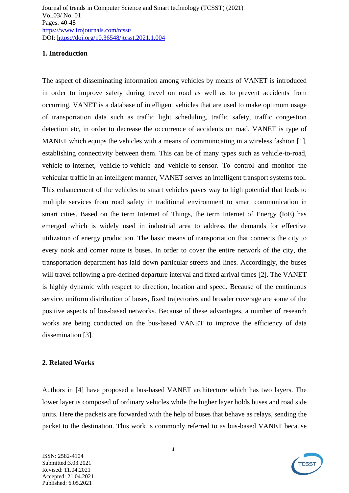#### **1. Introduction**

The aspect of disseminating information among vehicles by means of VANET is introduced in order to improve safety during travel on road as well as to prevent accidents from occurring. VANET is a database of intelligent vehicles that are used to make optimum usage of transportation data such as traffic light scheduling, traffic safety, traffic congestion detection etc, in order to decrease the occurrence of accidents on road. VANET is type of MANET which equips the vehicles with a means of communicating in a wireless fashion [1], establishing connectivity between them. This can be of many types such as vehicle-to-road, vehicle-to-internet, vehicle-to-vehicle and vehicle-to-sensor. To control and monitor the vehicular traffic in an intelligent manner, VANET serves an intelligent transport systems tool. This enhancement of the vehicles to smart vehicles paves way to high potential that leads to multiple services from road safety in traditional environment to smart communication in smart cities. Based on the term Internet of Things, the term Internet of Energy (IoE) has emerged which is widely used in industrial area to address the demands for effective utilization of energy production. The basic means of transportation that connects the city to every nook and corner route is buses. In order to cover the entire network of the city, the transportation department has laid down particular streets and lines. Accordingly, the buses will travel following a pre-defined departure interval and fixed arrival times [2]. The VANET is highly dynamic with respect to direction, location and speed. Because of the continuous service, uniform distribution of buses, fixed trajectories and broader coverage are some of the positive aspects of bus-based networks. Because of these advantages, a number of research works are being conducted on the bus-based VANET to improve the efficiency of data dissemination [3].

#### **2. Related Works**

Authors in [4] have proposed a bus-based VANET architecture which has two layers. The lower layer is composed of ordinary vehicles while the higher layer holds buses and road side units. Here the packets are forwarded with the help of buses that behave as relays, sending the packet to the destination. This work is commonly referred to as bus-based VANET because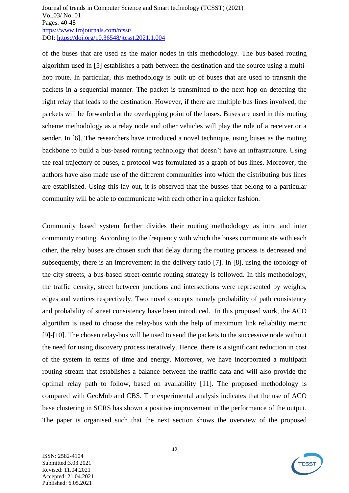of the buses that are used as the major nodes in this methodology. The bus-based routing algorithm used in [5] establishes a path between the destination and the source using a multihop route. In particular, this methodology is built up of buses that are used to transmit the packets in a sequential manner. The packet is transmitted to the next hop on detecting the right relay that leads to the destination. However, if there are multiple bus lines involved, the packets will be forwarded at the overlapping point of the buses. Buses are used in this routing scheme methodology as a relay node and other vehicles will play the role of a receiver or a sender. In [6]. The researchers have introduced a novel technique, using buses as the routing backbone to build a bus-based routing technology that doesn't have an infrastructure. Using the real trajectory of buses, a protocol was formulated as a graph of bus lines. Moreover, the authors have also made use of the different communities into which the distributing bus lines are established. Using this lay out, it is observed that the busses that belong to a particular community will be able to communicate with each other in a quicker fashion.

Community based system further divides their routing methodology as intra and inter community routing. According to the frequency with which the buses communicate with each other, the relay buses are chosen such that delay during the routing process is decreased and subsequently, there is an improvement in the delivery ratio [7]. In [8], using the topology of the city streets, a bus-based street-centric routing strategy is followed. In this methodology, the traffic density, street between junctions and intersections were represented by weights, edges and vertices respectively. Two novel concepts namely probability of path consistency and probability of street consistency have been introduced. In this proposed work, the ACO algorithm is used to choose the relay-bus with the help of maximum link reliability metric [9]-[10]. The chosen relay-bus will be used to send the packets to the successive node without the need for using discovery process iteratively. Hence, there is a significant reduction in cost of the system in terms of time and energy. Moreover, we have incorporated a multipath routing stream that establishes a balance between the traffic data and will also provide the optimal relay path to follow, based on availability [11]. The proposed methodology is compared with GeoMob and CBS. The experimental analysis indicates that the use of ACO base clustering in SCRS has shown a positive improvement in the performance of the output. The paper is organised such that the next section shows the overview of the proposed

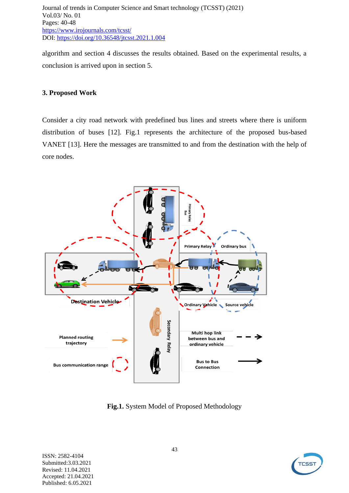algorithm and section 4 discusses the results obtained. Based on the experimental results, a conclusion is arrived upon in section 5.

#### **3. Proposed Work**

Consider a city road network with predefined bus lines and streets where there is uniform distribution of buses [12]. Fig.1 represents the architecture of the proposed bus-based VANET [13]. Here the messages are transmitted to and from the destination with the help of core nodes.



**Fig.1.** System Model of Proposed Methodology

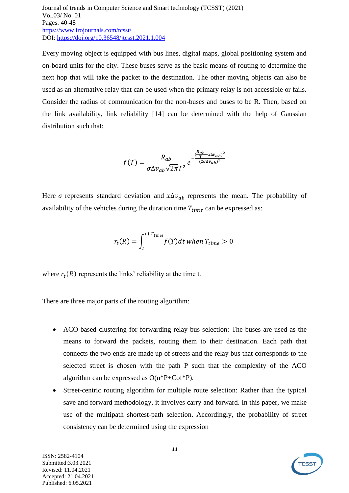Every moving object is equipped with bus lines, digital maps, global positioning system and on-board units for the city. These buses serve as the basic means of routing to determine the next hop that will take the packet to the destination. The other moving objects can also be used as an alternative relay that can be used when the primary relay is not accessible or fails. Consider the radius of communication for the non-buses and buses to be R. Then, based on the link availability, link reliability [14] can be determined with the help of Gaussian distribution such that:

$$
f(T) = \frac{R_{ab}}{\sigma \Delta v_{ab} \sqrt{2\pi} T^2} e^{-\frac{(\frac{R_{ab}}{T} - x\Delta v_{ab})^2}{(2\sigma \Delta v_{ab})^2}}
$$

Here  $\sigma$  represents standard deviation and  $x \Delta v_{ab}$  represents the mean. The probability of availability of the vehicles during the duration time  $T_{time}$  can be expressed as:

$$
r_t(R) = \int_{t}^{t+T_{time}} f(T)dt \text{ when } T_{time} > 0
$$

where  $r_t(R)$  represents the links' reliability at the time t.

There are three major parts of the routing algorithm:

- ACO-based clustering for forwarding relay-bus selection: The buses are used as the means to forward the packets, routing them to their destination. Each path that connects the two ends are made up of streets and the relay bus that corresponds to the selected street is chosen with the path P such that the complexity of the ACO algorithm can be expressed as O(n\*P+Cof\*P).
- Street-centric routing algorithm for multiple route selection: Rather than the typical save and forward methodology, it involves carry and forward. In this paper, we make use of the multipath shortest-path selection. Accordingly, the probability of street consistency can be determined using the expression

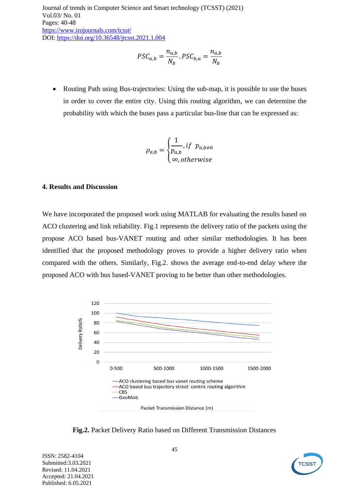$$
PSC_{a,b} = \frac{n_{a,b}}{N_b} \cdot PSC_{b,a} = \frac{n_{a,b}}{N_b}
$$

• Routing Path using Bus-trajectories: Using the sub-map, it is possible to use the buses in order to cover the entire city. Using this routing algorithm, we can determine the probability with which the buses pass a particular bus-line that can be expressed as:

$$
\rho_{a,b} = \begin{cases} \frac{1}{p_{a,b}}, if \ p_{a,b \neq 0} \\ \infty, otherwise \end{cases}
$$

### **4. Results and Discussion**

We have incorporated the proposed work using MATLAB for evaluating the results based on ACO clustering and link reliability. Fig.1 represents the delivery ratio of the packets using the propose ACO based bus-VANET routing and other similar methodologies. It has been identified that the proposed methodology proves to provide a higher delivery ratio when compared with the others. Similarly, Fig.2. shows the average end-to-end delay where the proposed ACO with bus based-VANET proving to be better than other methodologies.



**Fig.2.** Packet Delivery Ratio based on Different Transmission Distances

ISSN: 2582-4104 Submitted:3.03.2021 Revised: 11.04.2021 Accepted: 21.04.2021 Published: 6.05.2021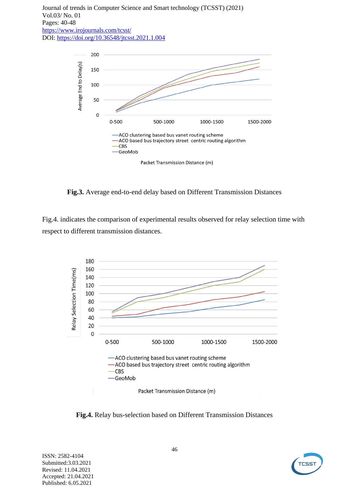

**Fig.3.** Average end-to-end delay based on Different Transmission Distances

Fig.4. indicates the comparison of experimental results observed for relay selection time with respect to different transmission distances.



**Fig.4.** Relay bus-selection based on Different Transmission Distances

ISSN: 2582-4104 Submitted:3.03.2021 Revised: 11.04.2021 Accepted: 21.04.2021 Published: 6.05.2021

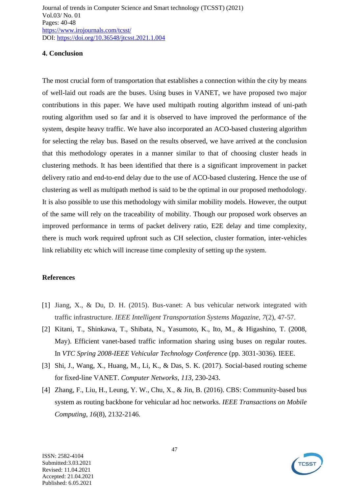#### **4. Conclusion**

The most crucial form of transportation that establishes a connection within the city by means of well-laid out roads are the buses. Using buses in VANET, we have proposed two major contributions in this paper. We have used multipath routing algorithm instead of uni-path routing algorithm used so far and it is observed to have improved the performance of the system, despite heavy traffic. We have also incorporated an ACO-based clustering algorithm for selecting the relay bus. Based on the results observed, we have arrived at the conclusion that this methodology operates in a manner similar to that of choosing cluster heads in clustering methods. It has been identified that there is a significant improvement in packet delivery ratio and end-to-end delay due to the use of ACO-based clustering. Hence the use of clustering as well as multipath method is said to be the optimal in our proposed methodology. It is also possible to use this methodology with similar mobility models. However, the output of the same will rely on the traceability of mobility. Though our proposed work observes an improved performance in terms of packet delivery ratio, E2E delay and time complexity, there is much work required upfront such as CH selection, cluster formation, inter-vehicles link reliability etc which will increase time complexity of setting up the system.

#### **References**

- [1] Jiang, X., & Du, D. H. (2015). Bus-vanet: A bus vehicular network integrated with traffic infrastructure. *IEEE Intelligent Transportation Systems Magazine*, *7*(2), 47-57.
- [2] Kitani, T., Shinkawa, T., Shibata, N., Yasumoto, K., Ito, M., & Higashino, T. (2008, May). Efficient vanet-based traffic information sharing using buses on regular routes. In *VTC Spring 2008-IEEE Vehicular Technology Conference* (pp. 3031-3036). IEEE.
- [3] Shi, J., Wang, X., Huang, M., Li, K., & Das, S. K. (2017). Social-based routing scheme for fixed-line VANET. *Computer Networks*, *113*, 230-243.
- [4] Zhang, F., Liu, H., Leung, Y. W., Chu, X., & Jin, B. (2016). CBS: Community-based bus system as routing backbone for vehicular ad hoc networks. *IEEE Transactions on Mobile Computing*, *16*(8), 2132-2146.